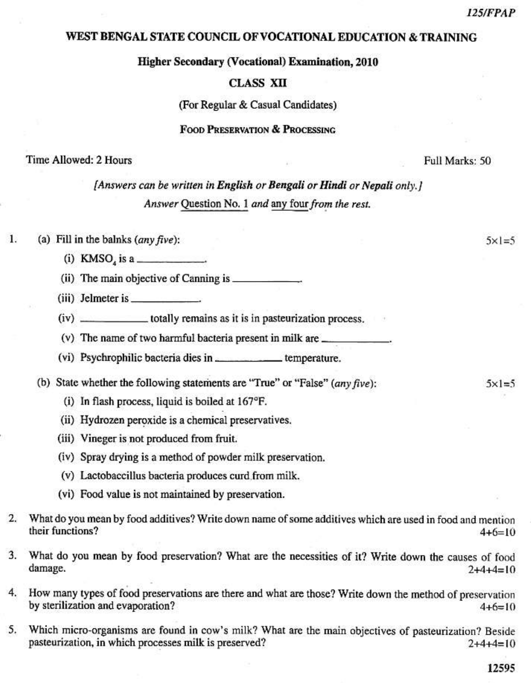## WEST BENGAL STATE COUNCIL OF VOCATIONAL EDUCATION & TRAINING

**Higher Secondary (Vocational) Examination, 2010** 

## **CLASS XII**

(For Regular & Casual Candidates)

## **FOOD PRESERVATION & PROCESSING**

### Time Allowed: 2 Hours

Full Marks: 50

[Answers can be written in English or Bengali or Hindi or Nepali only.] Answer Question No. 1 and any four from the rest.

#### $\mathbf{1}$ . (a) Fill in the balnks  $(any \, five)$ :

- (i) KMSO<sub>4</sub> is a
- 
- $(iii)$  Jelmeter is
- (iv) \_\_\_\_\_\_\_\_\_\_\_\_\_\_\_\_totally remains as it is in pasteurization process.
- 
- (vi) Psychrophilic bacteria dies in \_\_\_\_\_\_\_\_\_\_\_\_\_\_\_\_\_temperature.
- (b) State whether the following statements are "True" or "False"  $(\text{any five})$ :
	- (i) In flash process, liquid is boiled at  $167^{\circ}F$ .
	- (ii) Hydrozen peroxide is a chemical preservatives.
	- (iii) Vineger is not produced from fruit.
	- (iv) Spray drying is a method of powder milk preservation.
	- (v) Lactobaccillus bacteria produces curd from milk.
	- (vi) Food value is not maintained by preservation.
- $2.$ What do you mean by food additives? Write down name of some additives which are used in food and mention their functions?  $4+6=10$
- What do you mean by food preservation? What are the necessities of it? Write down the causes of food 3. damage.  $2+4+4=10$
- 4. How many types of food preservations are there and what are those? Write down the method of preservation by sterilization and evaporation?  $4+6=10$
- 5. Which micro-organisms are found in cow's milk? What are the main objectives of pasteurization? Beside pasteurization, in which processes milk is preserved?  $2+4+4=10$

12595

 $5x = 5$ 

 $5 \times 1 = 5$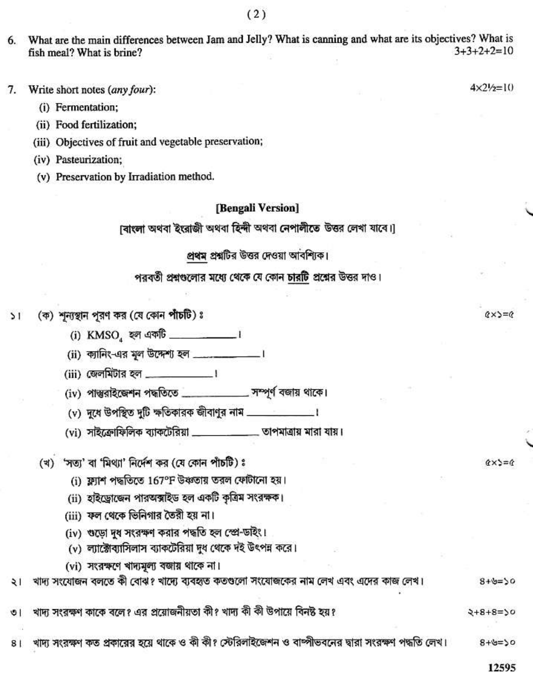What are the main differences between Jam and Jelly? What is canning and what are its objectives? What is 6.  $3+3+2+2=10$ fish meal? What is brine?

Write short notes (any four): 7.

(i) Fermentation;

(ii) Food fertilization;

(iii) Objectives of fruit and vegetable preservation;

(iv) Pasteurization;

(v) Preservation by Irradiation method.

# [Bengali Version]

াবাংলা অথবা ইংরাজী অথবা হিন্দী অথবা নেপালীতে উত্তর লেখা যাবে।

# প্রথম প্রশ্নটির উত্তর দেওয়া আবশ্যিক।

## পরবর্তী প্রশ্নগুলোর মধ্যে থেকে যে কোন চারটি প্রশ্নের উত্তর দাও।

#### (ক) শূন্যস্থান পুরণ কর (যে কোন পাঁচটি) ঃ  $\frac{1}{2}$

(i) KMSO ফ্ল একটি \_\_\_\_\_\_\_\_\_\_\_\_\_\_\_।

(iv) পাস্তুরাইজেশন পদ্ধতিতে \_\_\_\_\_\_\_\_\_\_\_ সম্পূর্ণ বজায় থাকে।

(vi) সাইক্রোফিলিক ব্যাকটেরিয়া \_\_\_\_\_\_\_\_\_\_\_\_\_ তাপমাত্রায় মারা যায়।

(খ) 'সত্য' বা 'মিথ্যা' নির্দেশ কর (যে কোন পাঁচটি) ঃ

(i) ফ্ল্যাশ পদ্ধতিতে 167°F উঞ্চতায় তরল ফোটানো হয়।

(ii) হাইড্রোজেন পারঅক্সাইড হল একটি কৃত্রিম সংরক্ষক।

(iii) ফল থেকে ভিনিগার তৈরী হয় না।

(iv) ওড়ো দুধ সংরক্ষণ করার পদ্ধতি হল স্প্রে-ডাইং।

(v) ল্যাক্টোব্যাসিলাস ব্যাকটেরিয়া দুধ থেকে দই উৎপন্ন করে।

(vi) সংরক্ষণে থাদ্যমূল্য বজায় থাকে না।

খাদ্য সংযোজন বলতে কী বোঝ? খাদ্যে ব্যবহৃত কতগুলো সংযোজকের নাম লেখ এবং এদের কাজ লেখ।  $\frac{1}{2}$  $8 + 9 = 50$ 

খাদ্য সংরক্ষণ কাকে বলে? এর প্রয়োজনীয়তা কী? খাদ্য কী কী উপায়ে বিনষ্ট হয়? ৩।

খাদ্য সংরক্ষণ কত প্রকারের হয়ে থাকে ও কী কী? স্টেরিলাইজেশন ও বাম্পীভবনের দ্বারা সংরক্ষণ পদ্ধতি লেখ।  $0250+8$  $8<sub>1</sub>$ 

12595

 $2+8+8=50$ 

 $(x) = 6$ 

 $Q \times 2 = Q$ 

 $4 \times 2! / 2 = 10$